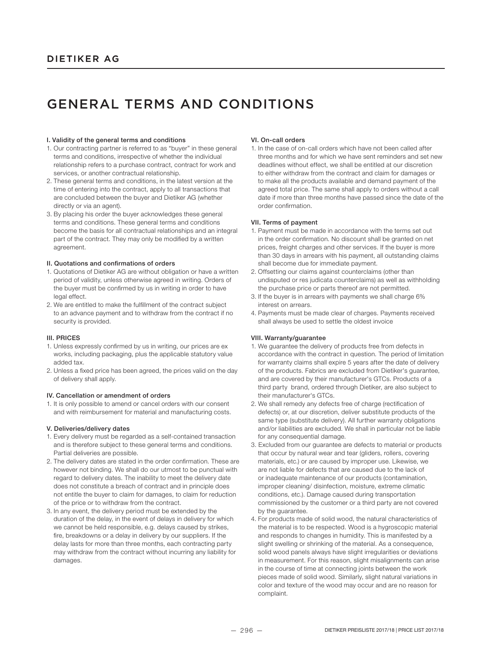# GENERAL TERMS AND CONDITIONS

# I. Validity of the general terms and conditions

- 1. Our contracting partner is referred to as "buyer" in these general terms and conditions, irrespective of whether the individual relationship refers to a purchase contract, contract for work and services, or another contractual relationship.
- 2. These general terms and conditions, in the latest version at the time of entering into the contract, apply to all transactions that are concluded between the buyer and Dietiker AG (whether directly or via an agent).
- 3. By placing his order the buyer acknowledges these general terms and conditions. These general terms and conditions become the basis for all contractual relationships and an integral part of the contract. They may only be modified by a written agreement.

# II. Quotations and confirmations of orders

- 1. Quotations of Dietiker AG are without obligation or have a written period of validity, unless otherwise agreed in writing. Orders of the buyer must be confirmed by us in writing in order to have legal effect.
- 2. We are entitled to make the fulfillment of the contract subject to an advance payment and to withdraw from the contract if no security is provided.

# III. PRICES

- 1. Unless expressly confirmed by us in writing, our prices are ex works, including packaging, plus the applicable statutory value added tax.
- 2. Unless a fixed price has been agreed, the prices valid on the day of delivery shall apply.

## IV. Cancellation or amendment of orders

1. It is only possible to amend or cancel orders with our consent and with reimbursement for material and manufacturing costs.

## V. Deliveries/delivery dates

- 1. Every delivery must be regarded as a self-contained transaction and is therefore subject to these general terms and conditions. Partial deliveries are possible.
- 2. The delivery dates are stated in the order confirmation. These are however not binding. We shall do our utmost to be punctual with regard to delivery dates. The inability to meet the delivery date does not constitute a breach of contract and in principle does not entitle the buyer to claim for damages, to claim for reduction of the price or to withdraw from the contract.
- 3. In any event, the delivery period must be extended by the duration of the delay, in the event of delays in delivery for which we cannot be held responsible, e.g. delays caused by strikes, fire, breakdowns or a delay in delivery by our suppliers. If the delay lasts for more than three months, each contracting party may withdraw from the contract without incurring any liability for damages.

# VI. On-call orders

1. In the case of on-call orders which have not been called after three months and for which we have sent reminders and set new deadlines without effect, we shall be entitled at our discretion to either withdraw from the contract and claim for damages or to make all the products available and demand payment of the agreed total price. The same shall apply to orders without a call date if more than three months have passed since the date of the order confirmation.

# VII. Terms of payment

- 1. Payment must be made in accordance with the terms set out in the order confirmation. No discount shall be granted on net prices, freight charges and other services. If the buyer is more than 30 days in arrears with his payment, all outstanding claims shall become due for immediate payment.
- 2. Offsetting our claims against counterclaims (other than undisputed or res judicata counterclaims) as well as withholding the purchase price or parts thereof are not permitted.
- 3. If the buyer is in arrears with payments we shall charge 6% interest on arrears.
- 4. Payments must be made clear of charges. Payments received shall always be used to settle the oldest invoice

# VIII. Warranty/guarantee

- 1. We guarantee the delivery of products free from defects in accordance with the contract in question. The period of limitation for warranty claims shall expire 5 years after the date of delivery of the products. Fabrics are excluded from Dietiker's guarantee, and are covered by their manufacturer's GTCs. Products of a third party brand, ordered through Dietiker, are also subject to their manufacturer's GTCs.
- 2. We shall remedy any defects free of charge (rectification of defects) or, at our discretion, deliver substitute products of the same type (substitute delivery). All further warranty obligations and/or liabilities are excluded. We shall in particular not be liable for any consequential damage.
- 3. Excluded from our guarantee are defects to material or products that occur by natural wear and tear (gliders, rollers, covering materials, etc.) or are caused by improper use. Likewise, we are not liable for defects that are caused due to the lack of or inadequate maintenance of our products (contamination, improper cleaning/ disinfection, moisture, extreme climatic conditions, etc.). Damage caused during transportation commissioned by the customer or a third party are not covered by the guarantee.
- 4. For products made of solid wood, the natural characteristics of the material is to be respected. Wood is a hygroscopic material and responds to changes in humidity. This is manifested by a slight swelling or shrinking of the material. As a consequence, solid wood panels always have slight irregularities or deviations in measurement. For this reason, slight misalignments can arise in the course of time at connecting joints between the work pieces made of solid wood. Similarly, slight natural variations in color and texture of the wood may occur and are no reason for complaint.